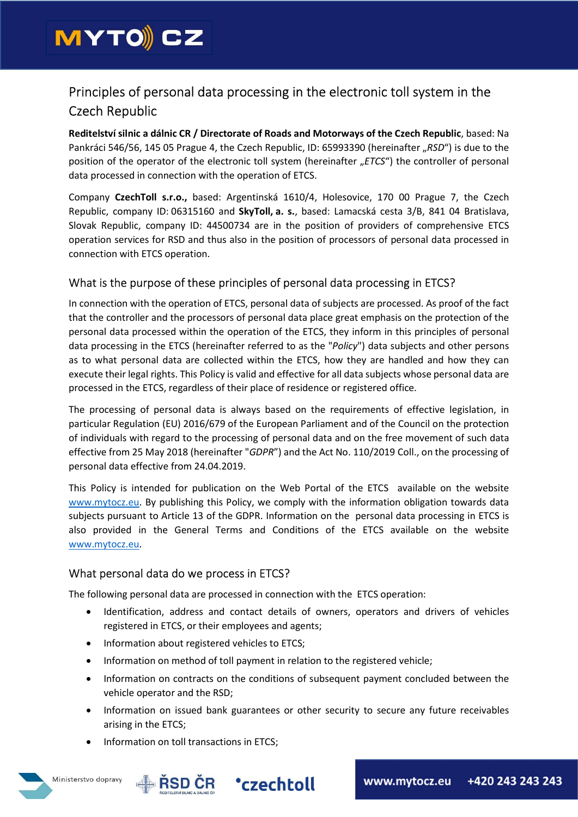

# Principles of personal data processing in the electronic toll system in the Czech Republic

Reditelství silnic a dálnic CR / Directorate of Roads and Motorways of the Czech Republic, based: Na Pankráci 546/56, 145 05 Prague 4, the Czech Republic, ID: 65993390 (hereinafter "RSD") is due to the position of the operator of the electronic toll system (hereinafter "ETCS") the controller of personal data processed in connection with the operation of ETCS.

Company CzechToll s.r.o., based: Argentinská 1610/4, Holesovice, 170 00 Prague 7, the Czech Republic, company ID: 06315160 and SkyToll, a. s., based: Lamacská cesta 3/B, 841 04 Bratislava, Slovak Republic, company ID: 44500734 are in the position of providers of comprehensive ETCS operation services for RSD and thus also in the position of processors of personal data processed in connection with ETCS operation.

# What is the purpose of these principles of personal data processing in ETCS?

In connection with the operation of ETCS, personal data of subjects are processed. As proof of the fact that the controller and the processors of personal data place great emphasis on the protection of the personal data processed within the operation of the ETCS, they inform in this principles of personal data processing in the ETCS (hereinafter referred to as the "Policy") data subjects and other persons as to what personal data are collected within the ETCS, how they are handled and how they can execute their legal rights. This Policy is valid and effective for all data subjects whose personal data are processed in the ETCS, regardless of their place of residence or registered office.

The processing of personal data is always based on the requirements of effective legislation, in particular Regulation (EU) 2016/679 of the European Parliament and of the Council on the protection of individuals with regard to the processing of personal data and on the free movement of such data effective from 25 May 2018 (hereinafter "GDPR") and the Act No. 110/2019 Coll., on the processing of personal data effective from 24.04.2019.

This Policy is intended for publication on the Web Portal of the ETCS available on the website www.mytocz.eu. By publishing this Policy, we comply with the information obligation towards data subjects pursuant to Article 13 of the GDPR. Information on the personal data processing in ETCS is also provided in the General Terms and Conditions of the ETCS available on the website www.mytocz.eu.

# What personal data do we process in ETCS?

The following personal data are processed in connection with the ETCS operation:

- Identification, address and contact details of owners, operators and drivers of vehicles registered in ETCS, or their employees and agents;
- Information about registered vehicles to ETCS;
- Information on method of toll payment in relation to the registered vehicle;
- Information on contracts on the conditions of subsequent payment concluded between the vehicle operator and the RSD;
- Information on issued bank guarantees or other security to secure any future receivables arising in the ETCS;
- Information on toll transactions in ETCS;



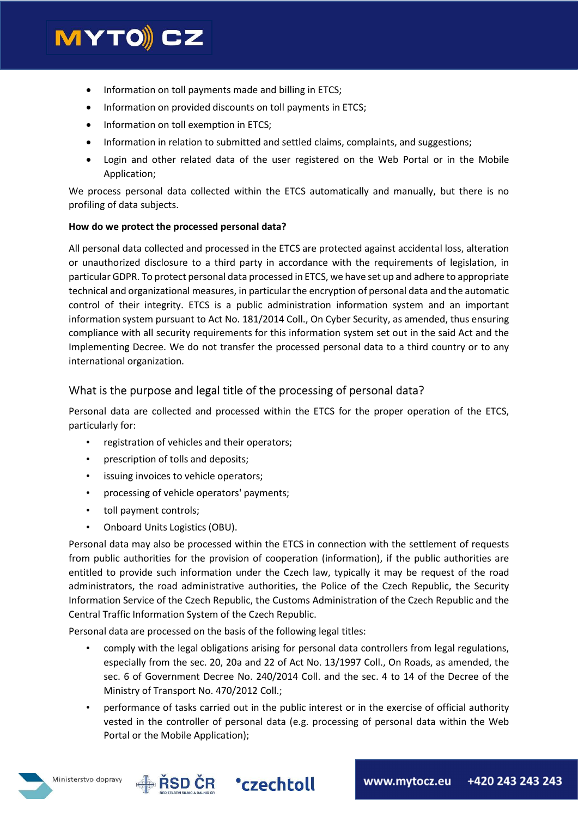# **MYTO)CZ**

- Information on toll payments made and billing in ETCS;
- Information on provided discounts on toll payments in ETCS;
- Information on toll exemption in ETCS:
- Information in relation to submitted and settled claims, complaints, and suggestions;
- Login and other related data of the user registered on the Web Portal or in the Mobile Application;

We process personal data collected within the ETCS automatically and manually, but there is no profiling of data subjects.

#### How do we protect the processed personal data?

All personal data collected and processed in the ETCS are protected against accidental loss, alteration or unauthorized disclosure to a third party in accordance with the requirements of legislation, in particular GDPR. To protect personal data processed in ETCS, we have set up and adhere to appropriate technical and organizational measures, in particular the encryption of personal data and the automatic control of their integrity. ETCS is a public administration information system and an important information system pursuant to Act No. 181/2014 Coll., On Cyber Security, as amended, thus ensuring compliance with all security requirements for this information system set out in the said Act and the Implementing Decree. We do not transfer the processed personal data to a third country or to any international organization.

# What is the purpose and legal title of the processing of personal data?

Personal data are collected and processed within the ETCS for the proper operation of the ETCS, particularly for:

- registration of vehicles and their operators;
- prescription of tolls and deposits;
- issuing invoices to vehicle operators;
- processing of vehicle operators' payments;
- toll payment controls;
- Onboard Units Logistics (OBU).

Personal data may also be processed within the ETCS in connection with the settlement of requests from public authorities for the provision of cooperation (information), if the public authorities are entitled to provide such information under the Czech law, typically it may be request of the road administrators, the road administrative authorities, the Police of the Czech Republic, the Security Information Service of the Czech Republic, the Customs Administration of the Czech Republic and the Central Traffic Information System of the Czech Republic.

Personal data are processed on the basis of the following legal titles:

- comply with the legal obligations arising for personal data controllers from legal regulations, especially from the sec. 20, 20a and 22 of Act No. 13/1997 Coll., On Roads, as amended, the sec. 6 of Government Decree No. 240/2014 Coll. and the sec. 4 to 14 of the Decree of the Ministry of Transport No. 470/2012 Coll.;
- performance of tasks carried out in the public interest or in the exercise of official authority vested in the controller of personal data (e.g. processing of personal data within the Web Portal or the Mobile Application);



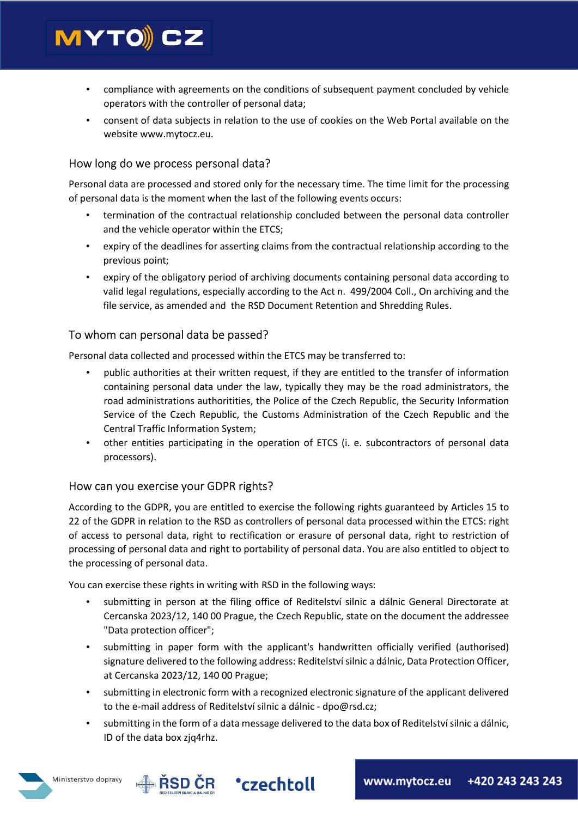

- compliance with agreements on the conditions of subsequent payment concluded by vehicle operators with the controller of personal data;
- consent of data subjects in relation to the use of cookies on the Web Portal available on the website www.mytocz.eu.

# How long do we process personal data?

Personal data are processed and stored only for the necessary time. The time limit for the processing of personal data is the moment when the last of the following events occurs:

- termination of the contractual relationship concluded between the personal data controller and the vehicle operator within the ETCS;
- expiry of the deadlines for asserting claims from the contractual relationship according to the previous point;
- expiry of the obligatory period of archiving documents containing personal data according to valid legal regulations, especially according to the Act n. 499/2004 Coll., On archiving and the file service, as amended and the RSD Document Retention and Shredding Rules.

# To whom can personal data be passed?

Personal data collected and processed within the ETCS may be transferred to:

- public authorities at their written request, if they are entitled to the transfer of information containing personal data under the law, typically they may be the road administrators, the road administrations authoritities, the Police of the Czech Republic, the Security Information Service of the Czech Republic, the Customs Administration of the Czech Republic and the Central Traffic Information System;
- other entities participating in the operation of ETCS (i. e. subcontractors of personal data processors).

# How can you exercise your GDPR rights?

According to the GDPR, you are entitled to exercise the following rights guaranteed by Articles 15 to 22 of the GDPR in relation to the RSD as controllers of personal data processed within the ETCS: right of access to personal data, right to rectification or erasure of personal data, right to restriction of processing of personal data and right to portability of personal data. You are also entitled to object to the processing of personal data.

You can exercise these rights in writing with RSD in the following ways:

- submitting in person at the filing office of Reditelství silnic a dálnic General Directorate at Cercanska 2023/12, 140 00 Prague, the Czech Republic, state on the document the addressee "Data protection officer";
- submitting in paper form with the applicant's handwritten officially verified (authorised) signature delivered to the following address: Reditelství silnic a dálnic, Data Protection Officer, at Cercanska 2023/12, 140 00 Prague;
- submitting in electronic form with a recognized electronic signature of the applicant delivered to the e-mail address of Reditelství silnic a dálnic - dpo@rsd.cz;
- submitting in the form of a data message delivered to the data box of Reditelství silnic a dálnic, ID of the data box zjq4rhz.